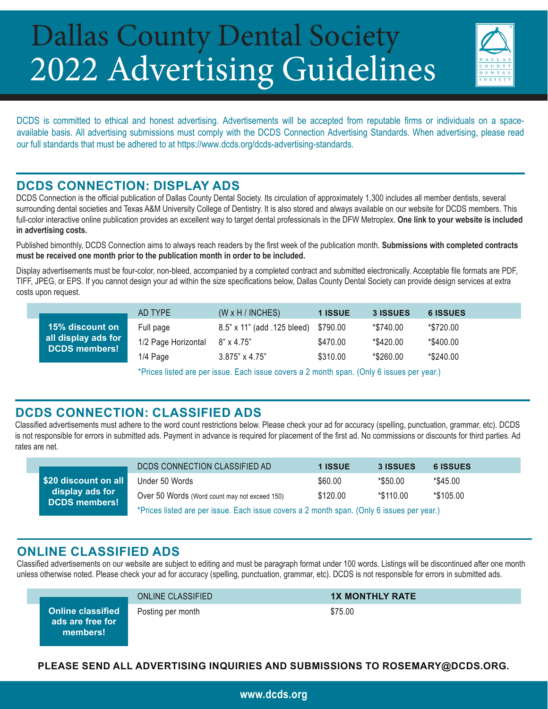# 2022 Advertising Guidelines Dallas County Dental Society



DCDS is committed to ethical and honest advertising. Advertisements will be accepted from reputable firms or individuals on a spaceavailable basis. All advertising submissions must comply with the [DCDS Connection Advertising Standards](https://www.dcds.org/dcds-advertising-standards). When advertising, please read our full standards that must be adhered to at [https://www.dcds.org/dcds-advertising-standards.](https://www.dcds.org/dcds-advertising-standards)

### **DCDS CONNECTION: DISPLAY ADS**

DCDS Connection is the official publication of Dallas County Dental Society. Its circulation of approximately 1,300 includes all member dentists, several surrounding dental societies and Texas A&M University College of Dentistry. It is also stored and always available on our website for DCDS members. This full-color interactive online publication provides an excellent way to target dental professionals in the DFW Metroplex. **One link to your website is included in advertising costs.**

Published bimonthly, DCDS Connection aims to always reach readers by the first week of the publication month. **Submissions with completed contracts must be received one month prior to the publication month in order to be included.**

Display advertisements must be four-color, non-bleed, accompanied by a completed contract and submitted electronically. Acceptable file formats are PDF, TIFF, JPEG, or EPS. If you cannot design your ad within the size specifications below, Dallas County Dental Society can provide design services at extra costs upon request.

|                                             | AD TYPE             | $(W \times H / INCHES)$     | <b>1 ISSUE</b> | <b>3 ISSUES</b> | <b>6 ISSUES</b> |
|---------------------------------------------|---------------------|-----------------------------|----------------|-----------------|-----------------|
| 15% discount on                             | Full page           | 8.5" x 11" (add .125 bleed) | \$790.00       | *\$740.00       | *\$720.00       |
| all display ads for<br><b>DCDS</b> members! | 1/2 Page Horizontal | $8" \times 4.75"$           | \$470.00       | *\$420.00       | *\$400.00       |
|                                             | 1/4 Page            | $3.875" \times 4.75"$       | \$310.00       | *\$260.00       | *\$240.00       |
|                                             |                     |                             |                |                 |                 |

\*Prices listed are per issue. Each issue covers a 2 month span. (Only 6 issues per year.)

### **DCDS CONNECTION: CLASSIFIED ADS**

Classified advertisements must adhere to the word count restrictions below. Please check your ad for accuracy (spelling, punctuation, grammar, etc). DCDS is not responsible for errors in submitted ads. Payment in advance is required for placement of the first ad. No commissions or discounts for third parties. Ad rates are net.

|                                         |                                                                                           | DCDS CONNECTION CLASSIFIED AD | <b>1 ISSUE</b> | <b>3 ISSUES</b> | <b>6 ISSUES</b> |  |
|-----------------------------------------|-------------------------------------------------------------------------------------------|-------------------------------|----------------|-----------------|-----------------|--|
|                                         | \$20 discount on all                                                                      | Under 50 Words                | \$60.00        | *\$50.00        | *\$45.00        |  |
| display ads for<br><b>DCDS</b> members! | Over 50 Words (Word count may not exceed 150)                                             | \$120.00                      | *\$110.00      | *\$105.00       |                 |  |
|                                         | *Prices listed are per issue. Each issue covers a 2 month span. (Only 6 issues per year.) |                               |                |                 |                 |  |

### **ONLINE CLASSIFIED ADS**

Classified advertisements on our website are subject to editing and must be paragraph format under 100 words. Listings will be discontinued after one month unless otherwise noted. Please check your ad for accuracy (spelling, punctuation, grammar, etc). DCDS is not responsible for errors in submitted ads.

**Online classified ads are free for members!**

Posting per month \$75.00

**ONLINE CLASSIFIED 1X MONTHLY RATE** 

#### **PLEASE SEND ALL ADVERTISING INQUIRIES AND SUBMISSIONS TO ROSEMARY@DCDS.ORG.**

**www.dcds.org**